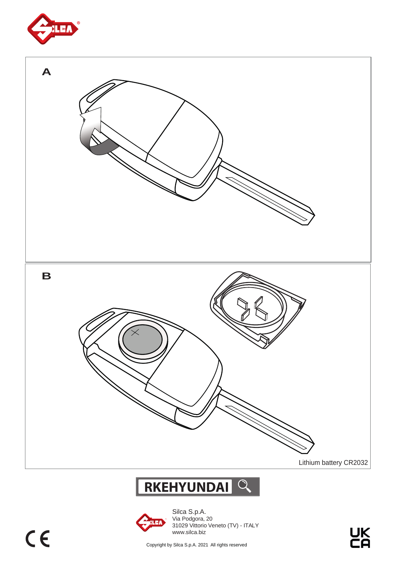



## **RKEHYUNDAI**



Silca S.p.A. Via Podgora, 20 31029 Vittorio Veneto (TV) - ITALY www.silca.biz